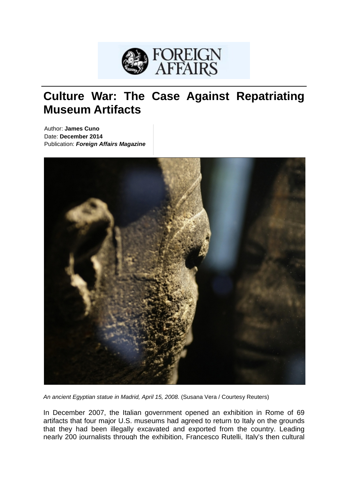

# **Culture War: The Case Against Repatriating Museum Artifacts**

Author: **James Cuno** Date: **December 2014** Publication: *Foreign Affairs Magazine*



*An ancient Egyptian statue in Madrid, April 15, 2008.* (Susana Vera / Courtesy Reuters)

In December 2007, the Italian government opened an exhibition in Rome of 69 artifacts that four major U.S. museums had agreed to return to Italy on the grounds that they had been illegally excavated and exported from the country. Leading nearly 200 journalists through the exhibition, Francesco Rutelli, Italy's then cultural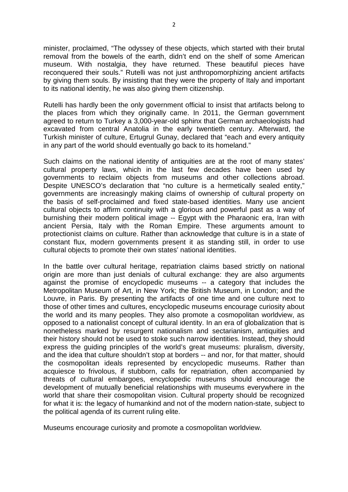minister, proclaimed, "The odyssey of these objects, which started with their brutal removal from the bowels of the earth, didn't end on the shelf of some American museum. With nostalgia, they have returned. These beautiful pieces have reconquered their souls." Rutelli was not just anthropomorphizing ancient artifacts by giving them souls. By insisting that they were the property of Italy and important to its national identity, he was also giving them citizenship.

Rutelli has hardly been the only government official to insist that artifacts belong to the places from which they originally came. In 2011, the German government agreed to return to Turkey a 3,000-year-old sphinx that German archaeologists had excavated from central Anatolia in the early twentieth century. Afterward, the Turkish minister of culture, Ertugrul Gunay, declared that "each and every antiquity in any part of the world should eventually go back to its homeland."

Such claims on the national identity of antiquities are at the root of many states' cultural property laws, which in the last few decades have been used by governments to reclaim objects from museums and other collections abroad. Despite UNESCO's declaration that "no culture is a hermetically sealed entity," governments are increasingly making claims of ownership of cultural property on the basis of self-proclaimed and fixed state-based identities. Many use ancient cultural objects to affirm continuity with a glorious and powerful past as a way of burnishing their modern political image -- Egypt with the Pharaonic era, Iran with ancient Persia, Italy with the Roman Empire. These arguments amount to protectionist claims on culture. Rather than acknowledge that culture is in a state of constant flux, modern governments present it as standing still, in order to use cultural objects to promote their own states' national identities.

In the battle over cultural heritage, repatriation claims based strictly on national origin are more than just denials of cultural exchange: they are also arguments against the promise of encyclopedic museums -- a category that includes the Metropolitan Museum of Art, in New York; the British Museum, in London; and the Louvre, in Paris. By presenting the artifacts of one time and one culture next to those of other times and cultures, encyclopedic museums encourage curiosity about the world and its many peoples. They also promote a cosmopolitan worldview, as opposed to a nationalist concept of cultural identity. In an era of globalization that is nonetheless marked by resurgent nationalism and sectarianism, antiquities and their history should not be used to stoke such narrow identities. Instead, they should express the guiding principles of the world's great museums: pluralism, diversity, and the idea that culture shouldn't stop at borders -- and nor, for that matter, should the cosmopolitan ideals represented by encyclopedic museums. Rather than acquiesce to frivolous, if stubborn, calls for repatriation, often accompanied by threats of cultural embargoes, encyclopedic museums should encourage the development of mutually beneficial relationships with museums everywhere in the world that share their cosmopolitan vision. Cultural property should be recognized for what it is: the legacy of humankind and not of the modern nation-state, subject to the political agenda of its current ruling elite.

Museums encourage curiosity and promote a cosmopolitan worldview.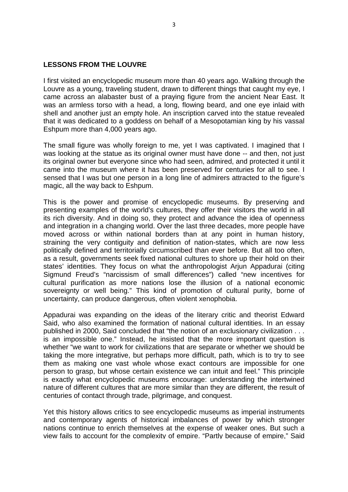#### **LESSONS FROM THE LOUVRE**

I first visited an encyclopedic museum more than 40 years ago. Walking through the Louvre as a young, traveling student, drawn to different things that caught my eye, I came across an alabaster bust of a praying figure from the ancient Near East. It was an armless torso with a head, a long, flowing beard, and one eye inlaid with shell and another just an empty hole. An inscription carved into the statue revealed that it was dedicated to a goddess on behalf of a Mesopotamian king by his vassal Eshpum more than 4,000 years ago.

The small figure was wholly foreign to me, yet I was captivated. I imagined that I was looking at the statue as its original owner must have done -- and then, not just its original owner but everyone since who had seen, admired, and protected it until it came into the museum where it has been preserved for centuries for all to see. I sensed that I was but one person in a long line of admirers attracted to the figure's magic, all the way back to Eshpum.

This is the power and promise of encyclopedic museums. By preserving and presenting examples of the world's cultures, they offer their visitors the world in all its rich diversity. And in doing so, they protect and advance the idea of openness and integration in a changing world. Over the last three decades, more people have moved across or within national borders than at any point in human history, straining the very contiguity and definition of nation-states, which are now less politically defined and territorially circumscribed than ever before. But all too often, as a result, governments seek fixed national cultures to shore up their hold on their states' identities. They focus on what the anthropologist Arjun Appadurai (citing Sigmund Freud's "narcissism of small differences") called "new incentives for cultural purification as more nations lose the illusion of a national economic sovereignty or well being." This kind of promotion of cultural purity, borne of uncertainty, can produce dangerous, often violent xenophobia.

Appadurai was expanding on the ideas of the literary critic and theorist Edward Said, who also examined the formation of national cultural identities. In an essay published in 2000, Said concluded that "the notion of an exclusionary civilization . . . is an impossible one." Instead, he insisted that the more important question is whether "we want to work for civilizations that are separate or whether we should be taking the more integrative, but perhaps more difficult, path, which is to try to see them as making one vast whole whose exact contours are impossible for one person to grasp, but whose certain existence we can intuit and feel." This principle is exactly what encyclopedic museums encourage: understanding the intertwined nature of different cultures that are more similar than they are different, the result of centuries of contact through trade, pilgrimage, and conquest.

Yet this history allows critics to see encyclopedic museums as imperial instruments and contemporary agents of historical imbalances of power by which stronger nations continue to enrich themselves at the expense of weaker ones. But such a view fails to account for the complexity of empire. "Partly because of empire," Said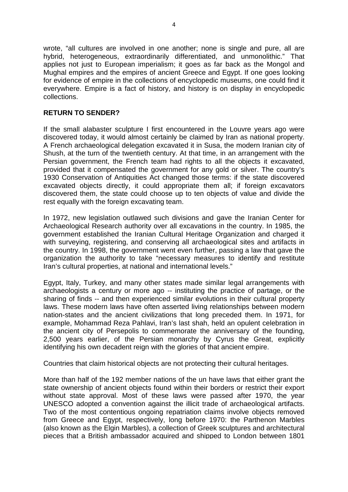wrote, "all cultures are involved in one another; none is single and pure, all are hybrid, heterogeneous, extraordinarily differentiated, and unmonolithic." That applies not just to European imperialism; it goes as far back as the Mongol and Mughal empires and the empires of ancient Greece and Egypt. If one goes looking for evidence of empire in the collections of encyclopedic museums, one could find it everywhere. Empire is a fact of history, and history is on display in encyclopedic collections.

### **RETURN TO SENDER?**

If the small alabaster sculpture I first encountered in the Louvre years ago were discovered today, it would almost certainly be claimed by Iran as national property. A French archaeological delegation excavated it in Susa, the modern Iranian city of Shush, at the turn of the twentieth century. At that time, in an arrangement with the Persian government, the French team had rights to all the objects it excavated, provided that it compensated the government for any gold or silver. The country's 1930 Conservation of Antiquities Act changed those terms: if the state discovered excavated objects directly, it could appropriate them all; if foreign excavators discovered them, the state could choose up to ten objects of value and divide the rest equally with the foreign excavating team.

In 1972, new legislation outlawed such divisions and gave the Iranian Center for Archaeological Research authority over all excavations in the country. In 1985, the government established the Iranian Cultural Heritage Organization and charged it with surveving, registering, and conserving all archaeological sites and artifacts in the country. In 1998, the government went even further, passing a law that gave the organization the authority to take "necessary measures to identify and restitute Iran's cultural properties, at national and international levels."

Egypt, Italy, Turkey, and many other states made similar legal arrangements with archaeologists a century or more ago -- instituting the practice of partage, or the sharing of finds -- and then experienced similar evolutions in their cultural property laws. These modern laws have often asserted living relationships between modern nation-states and the ancient civilizations that long preceded them. In 1971, for example, Mohammad Reza Pahlavi, Iran's last shah, held an opulent celebration in the ancient city of Persepolis to commemorate the anniversary of the founding, 2,500 years earlier, of the Persian monarchy by Cyrus the Great, explicitly identifying his own decadent reign with the glories of that ancient empire.

Countries that claim historical objects are not protecting their cultural heritages.

More than half of the 192 member nations of the un have laws that either grant the state ownership of ancient objects found within their borders or restrict their export without state approval. Most of these laws were passed after 1970, the year UNESCO adopted a convention against the illicit trade of archaeological artifacts. Two of the most contentious ongoing repatriation claims involve objects removed from Greece and Egypt, respectively, long before 1970: the Parthenon Marbles (also known as the Elgin Marbles), a collection of Greek sculptures and architectural pieces that a British ambassador acquired and shipped to London between 1801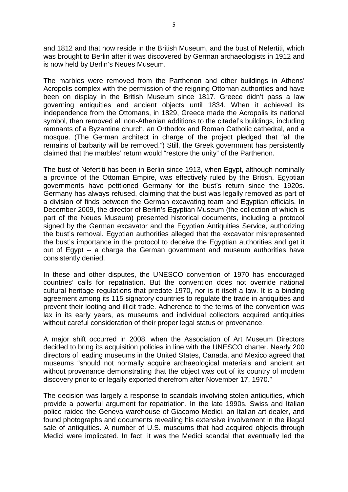and 1812 and that now reside in the British Museum, and the bust of Nefertiti, which was brought to Berlin after it was discovered by German archaeologists in 1912 and is now held by Berlin's Neues Museum.

The marbles were removed from the Parthenon and other buildings in Athens' Acropolis complex with the permission of the reigning Ottoman authorities and have been on display in the British Museum since 1817. Greece didn't pass a law governing antiquities and ancient objects until 1834. When it achieved its independence from the Ottomans, in 1829, Greece made the Acropolis its national symbol, then removed all non-Athenian additions to the citadel's buildings, including remnants of a Byzantine church, an Orthodox and Roman Catholic cathedral, and a mosque. (The German architect in charge of the project pledged that "all the remains of barbarity will be removed.") Still, the Greek government has persistently claimed that the marbles' return would "restore the unity" of the Parthenon.

The bust of Nefertiti has been in Berlin since 1913, when Egypt, although nominally a province of the Ottoman Empire, was effectively ruled by the British. Egyptian governments have petitioned Germany for the bust's return since the 1920s. Germany has always refused, claiming that the bust was legally removed as part of a division of finds between the German excavating team and Egyptian officials. In December 2009, the director of Berlin's Egyptian Museum (the collection of which is part of the Neues Museum) presented historical documents, including a protocol signed by the German excavator and the Egyptian Antiquities Service, authorizing the bust's removal. Egyptian authorities alleged that the excavator misrepresented the bust's importance in the protocol to deceive the Egyptian authorities and get it out of Egypt -- a charge the German government and museum authorities have consistently denied.

In these and other disputes, the UNESCO convention of 1970 has encouraged countries' calls for repatriation. But the convention does not override national cultural heritage regulations that predate 1970, nor is it itself a law. It is a binding agreement among its 115 signatory countries to regulate the trade in antiquities and prevent their looting and illicit trade. Adherence to the terms of the convention was lax in its early years, as museums and individual collectors acquired antiquities without careful consideration of their proper legal status or provenance.

A major shift occurred in 2008, when the Association of Art Museum Directors decided to bring its acquisition policies in line with the UNESCO charter. Nearly 200 directors of leading museums in the United States, Canada, and Mexico agreed that museums "should not normally acquire archaeological materials and ancient art without provenance demonstrating that the object was out of its country of modern discovery prior to or legally exported therefrom after November 17, 1970."

The decision was largely a response to scandals involving stolen antiquities, which provide a powerful argument for repatriation. In the late 1990s, Swiss and Italian police raided the Geneva warehouse of Giacomo Medici, an Italian art dealer, and found photographs and documents revealing his extensive involvement in the illegal sale of antiquities. A number of U.S. museums that had acquired objects through Medici were implicated. In fact, it was the Medici scandal that eventually led the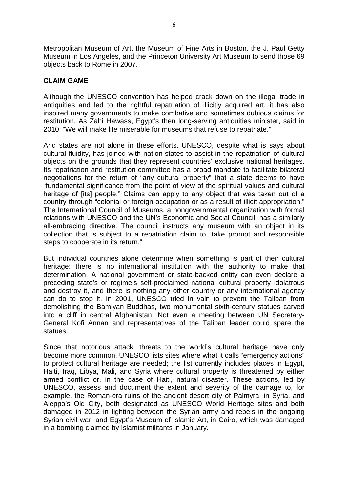Metropolitan Museum of Art, the Museum of Fine Arts in Boston, the J. Paul Getty Museum in Los Angeles, and the Princeton University Art Museum to send those 69 objects back to Rome in 2007.

## **CLAIM GAME**

Although the UNESCO convention has helped crack down on the illegal trade in antiquities and led to the rightful repatriation of illicitly acquired art, it has also inspired many governments to make combative and sometimes dubious claims for restitution. As Zahi Hawass, Egypt's then long-serving antiquities minister, said in 2010, "We will make life miserable for museums that refuse to repatriate."

And states are not alone in these efforts. UNESCO, despite what is says about cultural fluidity, has joined with nation-states to assist in the repatriation of cultural objects on the grounds that they represent countries' exclusive national heritages. Its repatriation and restitution committee has a broad mandate to facilitate bilateral negotiations for the return of "any cultural property" that a state deems to have "fundamental significance from the point of view of the spiritual values and cultural heritage of [its] people." Claims can apply to any object that was taken out of a country through "colonial or foreign occupation or as a result of illicit appropriation." The International Council of Museums, a nongovernmental organization with formal relations with UNESCO and the UN's Economic and Social Council, has a similarly all-embracing directive. The council instructs any museum with an object in its collection that is subject to a repatriation claim to "take prompt and responsible steps to cooperate in its return."

But individual countries alone determine when something is part of their cultural heritage: there is no international institution with the authority to make that determination. A national government or state-backed entity can even declare a preceding state's or regime's self-proclaimed national cultural property idolatrous and destroy it, and there is nothing any other country or any international agency can do to stop it. In 2001, UNESCO tried in vain to prevent the Taliban from demolishing the Bamiyan Buddhas, two monumental sixth-century statues carved into a cliff in central Afghanistan. Not even a meeting between UN Secretary-General Kofi Annan and representatives of the Taliban leader could spare the statues.

Since that notorious attack, threats to the world's cultural heritage have only become more common. UNESCO lists sites where what it calls "emergency actions" to protect cultural heritage are needed; the list currently includes places in Egypt, Haiti, Iraq, Libya, Mali, and Syria where cultural property is threatened by either armed conflict or, in the case of Haiti, natural disaster. These actions, led by UNESCO, assess and document the extent and severity of the damage to, for example, the Roman-era ruins of the ancient desert city of Palmyra, in Syria, and Aleppo's Old City, both designated as UNESCO World Heritage sites and both damaged in 2012 in fighting between the Syrian army and rebels in the ongoing Syrian civil war, and Egypt's Museum of Islamic Art, in Cairo, which was damaged in a bombing claimed by Islamist militants in January.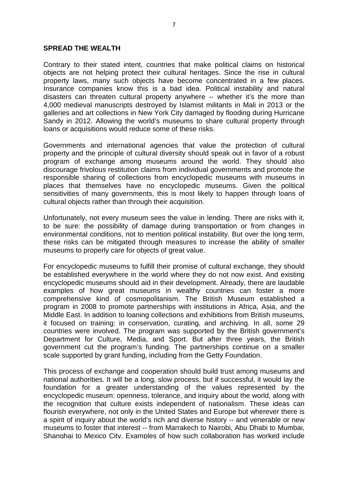#### **SPREAD THE WEALTH**

Contrary to their stated intent, countries that make political claims on historical objects are not helping protect their cultural heritages. Since the rise in cultural property laws, many such objects have become concentrated in a few places. Insurance companies know this is a bad idea. Political instability and natural disasters can threaten cultural property anywhere -- whether it's the more than 4,000 medieval manuscripts destroyed by Islamist militants in Mali in 2013 or the galleries and art collections in New York City damaged by flooding during Hurricane Sandy in 2012. Allowing the world's museums to share cultural property through loans or acquisitions would reduce some of these risks.

Governments and international agencies that value the protection of cultural property and the principle of cultural diversity should speak out in favor of a robust program of exchange among museums around the world. They should also discourage frivolous restitution claims from individual governments and promote the responsible sharing of collections from encyclopedic museums with museums in places that themselves have no encyclopedic museums. Given the political sensitivities of many governments, this is most likely to happen through loans of cultural objects rather than through their acquisition.

Unfortunately, not every museum sees the value in lending. There are risks with it, to be sure: the possibility of damage during transportation or from changes in environmental conditions, not to mention political instability. But over the long term, these risks can be mitigated through measures to increase the ability of smaller museums to properly care for objects of great value.

For encyclopedic museums to fulfill their promise of cultural exchange, they should be established everywhere in the world where they do not now exist. And existing encyclopedic museums should aid in their development. Already, there are laudable examples of how great museums in wealthy countries can foster a more comprehensive kind of cosmopolitanism. The British Museum established a program in 2008 to promote partnerships with institutions in Africa, Asia, and the Middle East. In addition to loaning collections and exhibitions from British museums, it focused on training: in conservation, curating, and archiving. In all, some 29 countries were involved. The program was supported by the British government's Department for Culture, Media, and Sport. But after three years, the British government cut the program's funding. The partnerships continue on a smaller scale supported by grant funding, including from the Getty Foundation.

This process of exchange and cooperation should build trust among museums and national authorities. It will be a long, slow process, but if successful, it would lay the foundation for a greater understanding of the values represented by the encyclopedic museum: openness, tolerance, and inquiry about the world, along with the recognition that culture exists independent of nationalism. These ideas can flourish everywhere, not only in the United States and Europe but wherever there is a spirit of inquiry about the world's rich and diverse history -- and venerable or new museums to foster that interest -- from Marrakech to Nairobi, Abu Dhabi to Mumbai, Shanghai to Mexico City. Examples of how such collaboration has worked include